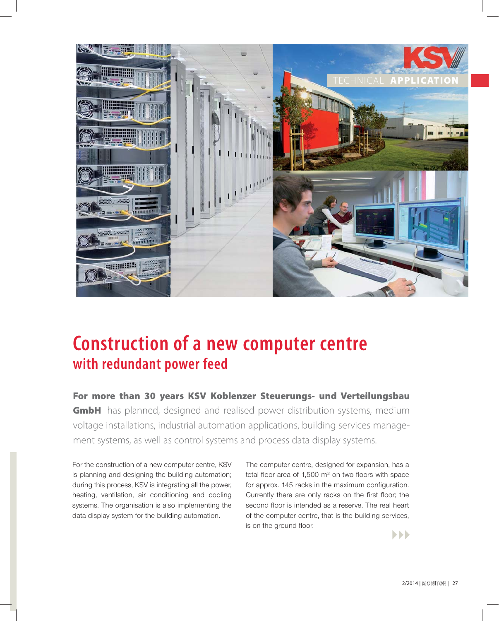

# **Construction of a new computer centre with redundant power feed**

**For more than 30 years KSV Koblenzer Steuerungs- und Verteilungsbau GmbH** has planned, designed and realised power distribution systems, medium voltage installations, industrial automation applications, building services management systems, as well as control systems and process data display systems.

For the construction of a new computer centre, KSV is planning and designing the building automation; during this process, KSV is integrating all the power, heating, ventilation, air conditioning and cooling systems. The organisation is also implementing the data display system for the building automation.

The computer centre, designed for expansion, has a total floor area of 1,500  $m<sup>2</sup>$  on two floors with space for approx. 145 racks in the maximum configuration. Currently there are only racks on the first floor; the second floor is intended as a reserve. The real heart of the computer centre, that is the building services, is on the ground floor.

 $\blacktriangleright\blacktriangleright\blacktriangleright$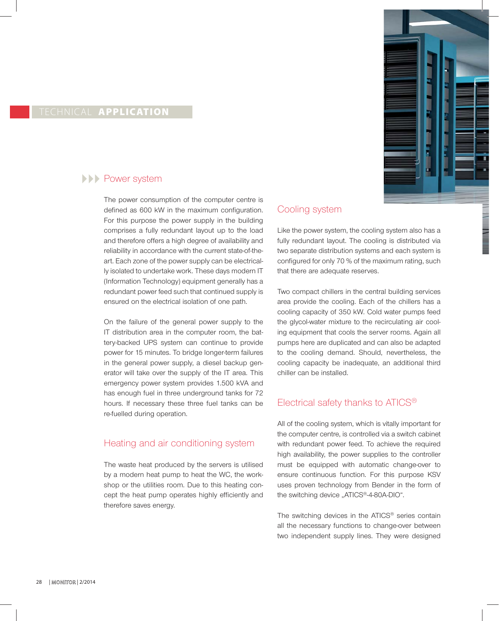

#### TECHNICAL **APPLICATION**

## **ADDED** Power system

The power consumption of the computer centre is defined as 600 kW in the maximum configuration. For this purpose the power supply in the building comprises a fully redundant layout up to the load and therefore offers a high degree of availability and reliability in accordance with the current state-of-theart. Each zone of the power supply can be electrically isolated to undertake work. These days modern IT (Information Technology) equipment generally has a redundant power feed such that continued supply is ensured on the electrical isolation of one path.

On the failure of the general power supply to the IT distribution area in the computer room, the battery-backed UPS system can continue to provide power for 15 minutes. To bridge longer-term failures in the general power supply, a diesel backup generator will take over the supply of the IT area. This emergency power system provides 1.500 kVA and has enough fuel in three underground tanks for 72 hours. If necessary these three fuel tanks can be re-fuelled during operation.

### Heating and air conditioning system

The waste heat produced by the servers is utilised by a modern heat pump to heat the WC, the workshop or the utilities room. Due to this heating concept the heat pump operates highly efficiently and therefore saves energy.

#### Cooling system

Like the power system, the cooling system also has a fully redundant layout. The cooling is distributed via two separate distribution systems and each system is configured for only 70 % of the maximum rating, such that there are adequate reserves.

Two compact chillers in the central building services area provide the cooling. Each of the chillers has a cooling capacity of 350 kW. Cold water pumps feed the glycol-water mixture to the recirculating air cooling equipment that cools the server rooms. Again all pumps here are duplicated and can also be adapted to the cooling demand. Should, nevertheless, the cooling capacity be inadequate, an additional third chiller can be installed.

### Electrical safety thanks to ATICS®

All of the cooling system, which is vitally important for the computer centre, is controlled via a switch cabinet with redundant power feed. To achieve the required high availability, the power supplies to the controller must be equipped with automatic change-over to ensure continuous function. For this purpose KSV uses proven technology from Bender in the form of the switching device "ATICS®-4-80A-DIO".

The switching devices in the ATICS<sup>®</sup> series contain all the necessary functions to change-over between two independent supply lines. They were designed